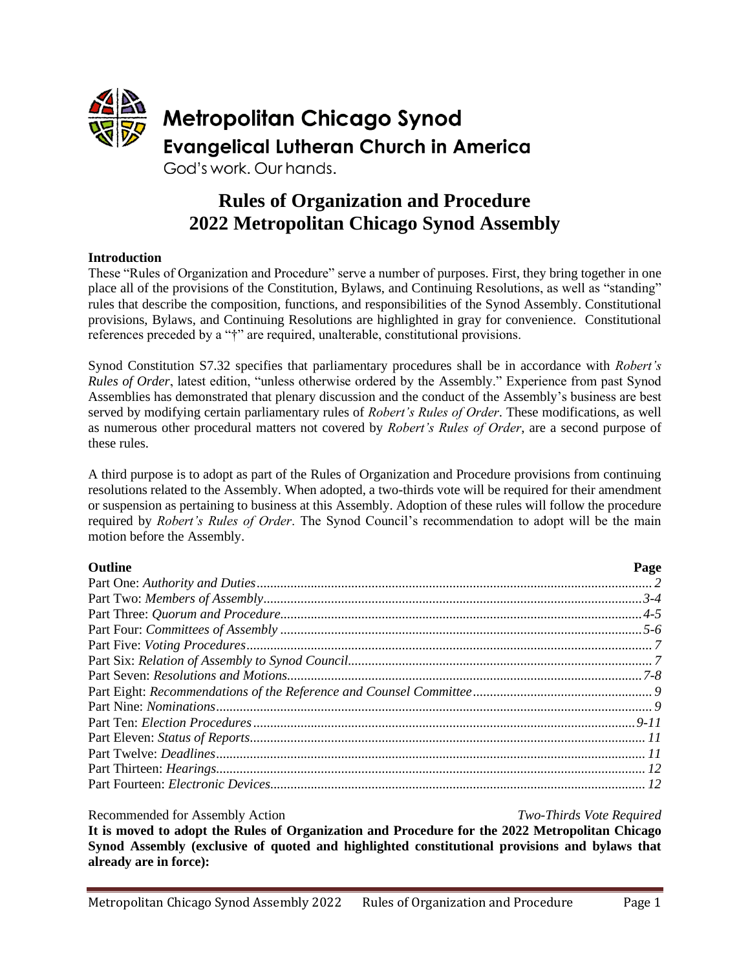

# **Rules of Organization and Procedure 2022 Metropolitan Chicago Synod Assembly**

### **Introduction**

These "Rules of Organization and Procedure" serve a number of purposes. First, they bring together in one place all of the provisions of the Constitution, Bylaws, and Continuing Resolutions, as well as "standing" rules that describe the composition, functions, and responsibilities of the Synod Assembly. Constitutional provisions, Bylaws, and Continuing Resolutions are highlighted in gray for convenience. Constitutional references preceded by a "†" are required, unalterable, constitutional provisions.

Synod Constitution S7.32 specifies that parliamentary procedures shall be in accordance with *Robert's Rules of Order*, latest edition, "unless otherwise ordered by the Assembly." Experience from past Synod Assemblies has demonstrated that plenary discussion and the conduct of the Assembly's business are best served by modifying certain parliamentary rules of *Robert's Rules of Order*. These modifications, as well as numerous other procedural matters not covered by *Robert's Rules of Order*, are a second purpose of these rules.

A third purpose is to adopt as part of the Rules of Organization and Procedure provisions from continuing resolutions related to the Assembly. When adopted, a two-thirds vote will be required for their amendment or suspension as pertaining to business at this Assembly. Adoption of these rules will follow the procedure required by *Robert's Rules of Order*. The Synod Council's recommendation to adopt will be the main motion before the Assembly.

| <b>Outline</b> | Page |
|----------------|------|
|                |      |
|                |      |
|                |      |
|                |      |
|                |      |
|                |      |
|                |      |
|                |      |
|                |      |
|                |      |
|                |      |
|                |      |
|                |      |
|                |      |

Recommended for Assembly Action *Two-Thirds Vote Required* **It is moved to adopt the Rules of Organization and Procedure for the 2022 Metropolitan Chicago Synod Assembly (exclusive of quoted and highlighted constitutional provisions and bylaws that already are in force):**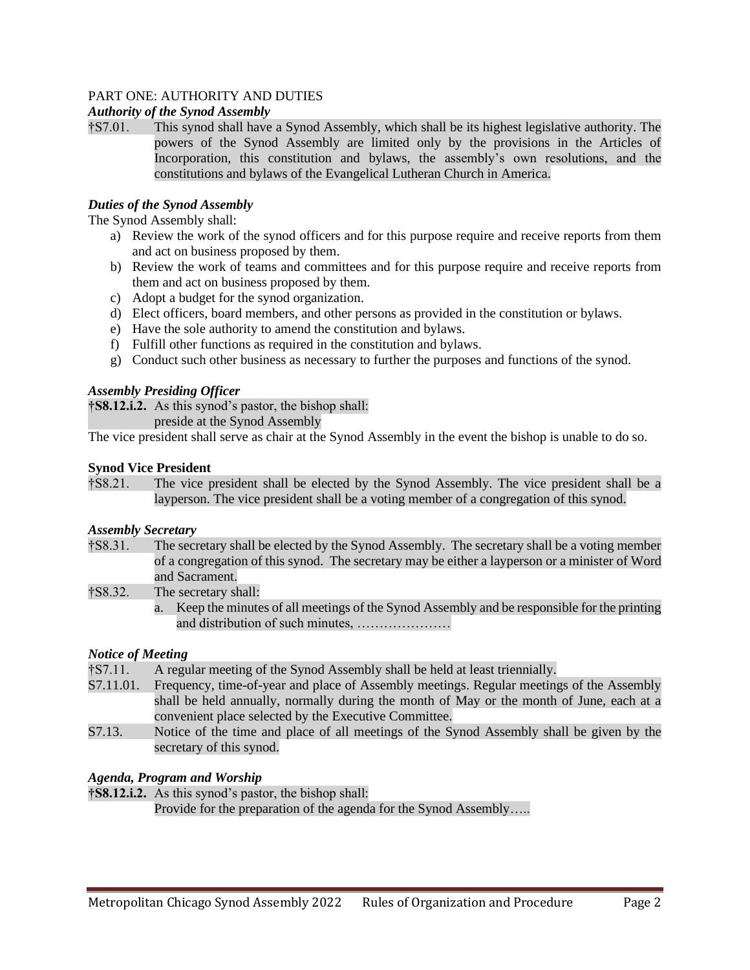# PART ONE: AUTHORITY AND DUTIES

### *Authority of the Synod Assembly*

†S7.01. This synod shall have a Synod Assembly, which shall be its highest legislative authority. The powers of the Synod Assembly are limited only by the provisions in the Articles of Incorporation, this constitution and bylaws, the assembly's own resolutions, and the constitutions and bylaws of the Evangelical Lutheran Church in America.

### *Duties of the Synod Assembly*

The Synod Assembly shall:

- a) Review the work of the synod officers and for this purpose require and receive reports from them and act on business proposed by them.
- b) Review the work of teams and committees and for this purpose require and receive reports from them and act on business proposed by them.
- c) Adopt a budget for the synod organization.
- d) Elect officers, board members, and other persons as provided in the constitution or bylaws.
- e) Have the sole authority to amend the constitution and bylaws.
- f) Fulfill other functions as required in the constitution and bylaws.
- g) Conduct such other business as necessary to further the purposes and functions of the synod.

### *Assembly Presiding Officer*

**†S8.12.i.2.** As this synod's pastor, the bishop shall:

preside at the Synod Assembly

The vice president shall serve as chair at the Synod Assembly in the event the bishop is unable to do so.

### **Synod Vice President**

†S8.21. The vice president shall be elected by the Synod Assembly. The vice president shall be a layperson. The vice president shall be a voting member of a congregation of this synod.

### *Assembly Secretary*

- †S8.31. The secretary shall be elected by the Synod Assembly. The secretary shall be a voting member of a congregation of this synod. The secretary may be either a layperson or a minister of Word and Sacrament.
- †S8.32. The secretary shall:
	- a. Keep the minutes of all meetings of the Synod Assembly and be responsible for the printing and distribution of such minutes, …………………

# *Notice of Meeting*

- †S7.11. A regular meeting of the Synod Assembly shall be held at least triennially.
- Frequency, time-of-year and place of Assembly meetings. Regular meetings of the Assembly shall be held annually, normally during the month of May or the month of June, each at a convenient place selected by the Executive Committee.
- S7.13. Notice of the time and place of all meetings of the Synod Assembly shall be given by the secretary of this synod.

# *Agenda, Program and Worship*

**†S8.12.i.2.** As this synod's pastor, the bishop shall: Provide for the preparation of the agenda for the Synod Assembly…..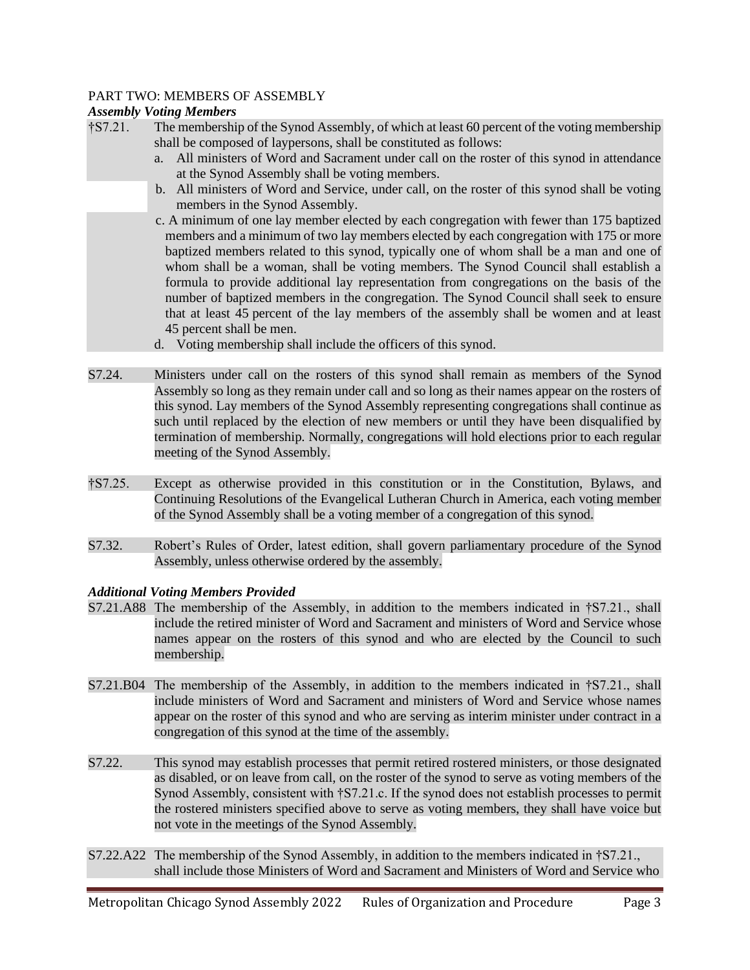### PART TWO: MEMBERS OF ASSEMBLY

### *Assembly Voting Members*

- †S7.21. The membership of the Synod Assembly, of which at least 60 percent of the voting membership shall be composed of laypersons, shall be constituted as follows:
	- a. All ministers of Word and Sacrament under call on the roster of this synod in attendance at the Synod Assembly shall be voting members.
	- b. All ministers of Word and Service, under call, on the roster of this synod shall be voting members in the Synod Assembly.
	- c. A minimum of one lay member elected by each congregation with fewer than 175 baptized members and a minimum of two lay members elected by each congregation with 175 or more baptized members related to this synod, typically one of whom shall be a man and one of whom shall be a woman, shall be voting members. The Synod Council shall establish a formula to provide additional lay representation from congregations on the basis of the number of baptized members in the congregation. The Synod Council shall seek to ensure that at least 45 percent of the lay members of the assembly shall be women and at least 45 percent shall be men.
	- d. Voting membership shall include the officers of this synod.
- S7.24. Ministers under call on the rosters of this synod shall remain as members of the Synod Assembly so long as they remain under call and so long as their names appear on the rosters of this synod. Lay members of the Synod Assembly representing congregations shall continue as such until replaced by the election of new members or until they have been disqualified by termination of membership. Normally, congregations will hold elections prior to each regular meeting of the Synod Assembly.
- †S7.25. Except as otherwise provided in this constitution or in the Constitution, Bylaws, and Continuing Resolutions of the Evangelical Lutheran Church in America, each voting member of the Synod Assembly shall be a voting member of a congregation of this synod.
- S7.32. Robert's Rules of Order, latest edition, shall govern parliamentary procedure of the Synod Assembly, unless otherwise ordered by the assembly.

### *Additional Voting Members Provided*

- S7.21.A88 The membership of the Assembly, in addition to the members indicated in †S7.21., shall include the retired minister of Word and Sacrament and ministers of Word and Service whose names appear on the rosters of this synod and who are elected by the Council to such membership.
- S7.21.B04 The membership of the Assembly, in addition to the members indicated in †S7.21., shall include ministers of Word and Sacrament and ministers of Word and Service whose names appear on the roster of this synod and who are serving as interim minister under contract in a congregation of this synod at the time of the assembly.
- S7.22. This synod may establish processes that permit retired rostered ministers, or those designated as disabled, or on leave from call, on the roster of the synod to serve as voting members of the Synod Assembly, consistent with †S7.21.c. If the synod does not establish processes to permit the rostered ministers specified above to serve as voting members, they shall have voice but not vote in the meetings of the Synod Assembly.
- S7.22.A22 The membership of the Synod Assembly, in addition to the members indicated in †S7.21., shall include those Ministers of Word and Sacrament and Ministers of Word and Service who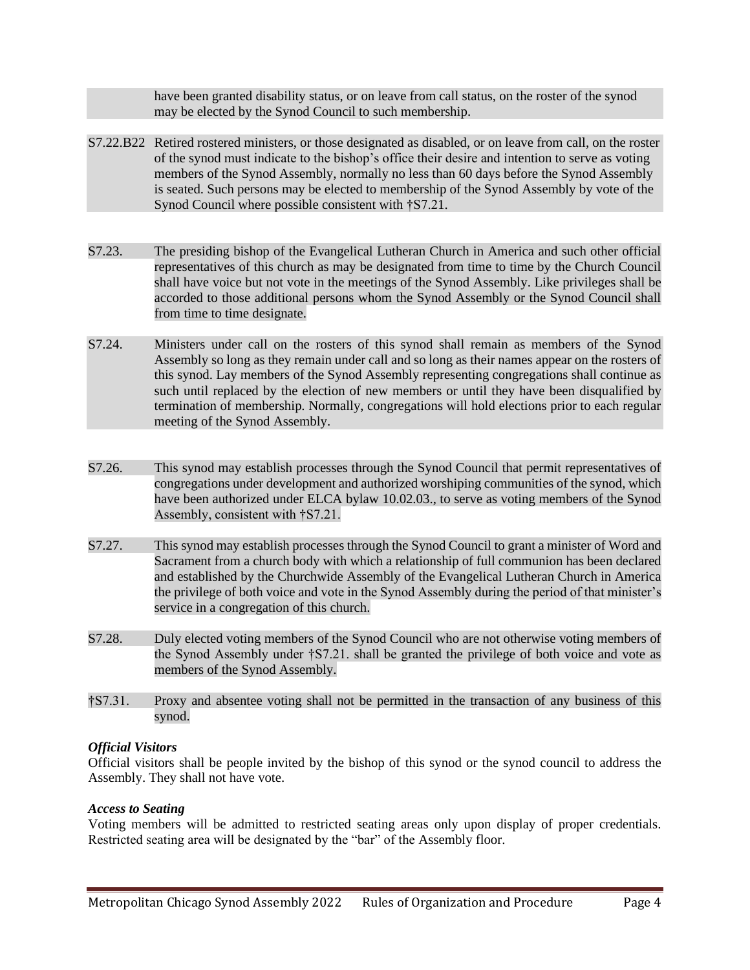have been granted disability status, or on leave from call status, on the roster of the synod may be elected by the Synod Council to such membership.

- S7.22.B22 Retired rostered ministers, or those designated as disabled, or on leave from call, on the roster of the synod must indicate to the bishop's office their desire and intention to serve as voting members of the Synod Assembly, normally no less than 60 days before the Synod Assembly is seated. Such persons may be elected to membership of the Synod Assembly by vote of the Synod Council where possible consistent with †S7.21.
- S7.23. The presiding bishop of the Evangelical Lutheran Church in America and such other official representatives of this church as may be designated from time to time by the Church Council shall have voice but not vote in the meetings of the Synod Assembly. Like privileges shall be accorded to those additional persons whom the Synod Assembly or the Synod Council shall from time to time designate.
- S7.24. Ministers under call on the rosters of this synod shall remain as members of the Synod Assembly so long as they remain under call and so long as their names appear on the rosters of this synod. Lay members of the Synod Assembly representing congregations shall continue as such until replaced by the election of new members or until they have been disqualified by termination of membership. Normally, congregations will hold elections prior to each regular meeting of the Synod Assembly.
- S7.26. This synod may establish processes through the Synod Council that permit representatives of congregations under development and authorized worshiping communities of the synod, which have been authorized under ELCA bylaw 10.02.03., to serve as voting members of the Synod Assembly, consistent with †S7.21.
- S7.27. This synod may establish processes through the Synod Council to grant a minister of Word and Sacrament from a church body with which a relationship of full communion has been declared and established by the Churchwide Assembly of the Evangelical Lutheran Church in America the privilege of both voice and vote in the Synod Assembly during the period of that minister's service in a congregation of this church.
- S7.28. Duly elected voting members of the Synod Council who are not otherwise voting members of the Synod Assembly under †S7.21. shall be granted the privilege of both voice and vote as members of the Synod Assembly.
- †S7.31. Proxy and absentee voting shall not be permitted in the transaction of any business of this synod.

### *Official Visitors*

Official visitors shall be people invited by the bishop of this synod or the synod council to address the Assembly. They shall not have vote.

### *Access to Seating*

Voting members will be admitted to restricted seating areas only upon display of proper credentials. Restricted seating area will be designated by the "bar" of the Assembly floor.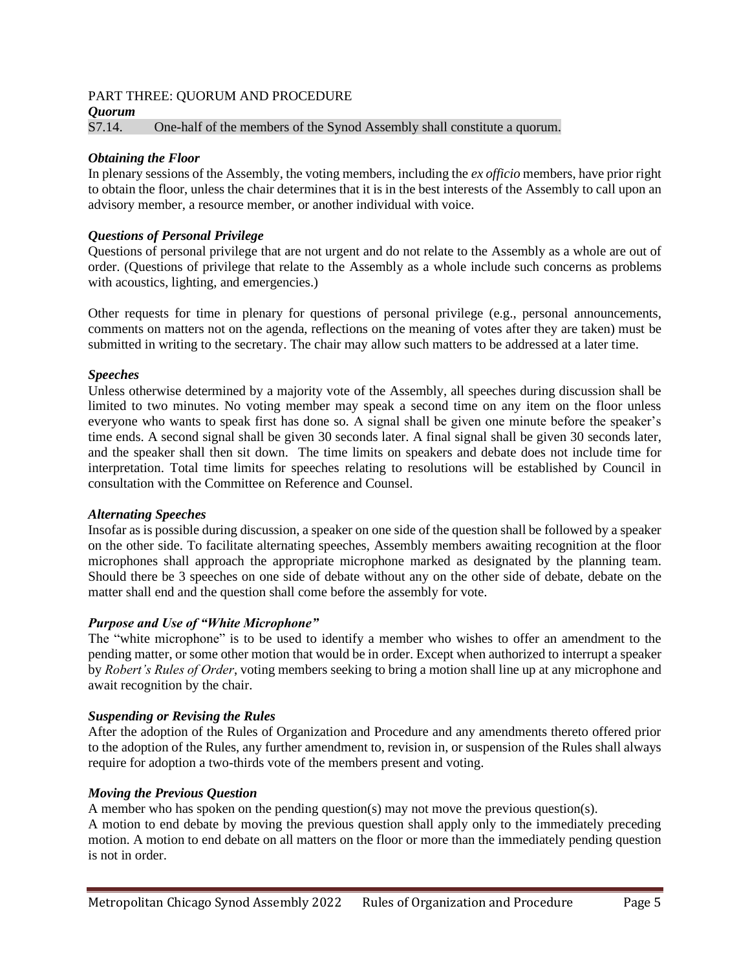# PART THREE: QUORUM AND PROCEDURE

*Quorum*

S7.14. One-half of the members of the Synod Assembly shall constitute a quorum.

#### *Obtaining the Floor*

In plenary sessions of the Assembly, the voting members, including the *ex officio* members, have prior right to obtain the floor, unless the chair determines that it is in the best interests of the Assembly to call upon an advisory member, a resource member, or another individual with voice.

#### *Questions of Personal Privilege*

Questions of personal privilege that are not urgent and do not relate to the Assembly as a whole are out of order. (Questions of privilege that relate to the Assembly as a whole include such concerns as problems with acoustics, lighting, and emergencies.)

Other requests for time in plenary for questions of personal privilege (e.g., personal announcements, comments on matters not on the agenda, reflections on the meaning of votes after they are taken) must be submitted in writing to the secretary. The chair may allow such matters to be addressed at a later time.

#### *Speeches*

Unless otherwise determined by a majority vote of the Assembly, all speeches during discussion shall be limited to two minutes. No voting member may speak a second time on any item on the floor unless everyone who wants to speak first has done so. A signal shall be given one minute before the speaker's time ends. A second signal shall be given 30 seconds later. A final signal shall be given 30 seconds later, and the speaker shall then sit down. The time limits on speakers and debate does not include time for interpretation. Total time limits for speeches relating to resolutions will be established by Council in consultation with the Committee on Reference and Counsel.

#### *Alternating Speeches*

Insofar as is possible during discussion, a speaker on one side of the question shall be followed by a speaker on the other side. To facilitate alternating speeches, Assembly members awaiting recognition at the floor microphones shall approach the appropriate microphone marked as designated by the planning team. Should there be 3 speeches on one side of debate without any on the other side of debate, debate on the matter shall end and the question shall come before the assembly for vote.

### *Purpose and Use of "White Microphone"*

The "white microphone" is to be used to identify a member who wishes to offer an amendment to the pending matter, or some other motion that would be in order. Except when authorized to interrupt a speaker by *Robert's Rules of Order*, voting members seeking to bring a motion shall line up at any microphone and await recognition by the chair.

#### *Suspending or Revising the Rules*

After the adoption of the Rules of Organization and Procedure and any amendments thereto offered prior to the adoption of the Rules, any further amendment to, revision in, or suspension of the Rules shall always require for adoption a two-thirds vote of the members present and voting.

### *Moving the Previous Question*

A member who has spoken on the pending question(s) may not move the previous question(s).

A motion to end debate by moving the previous question shall apply only to the immediately preceding motion. A motion to end debate on all matters on the floor or more than the immediately pending question is not in order.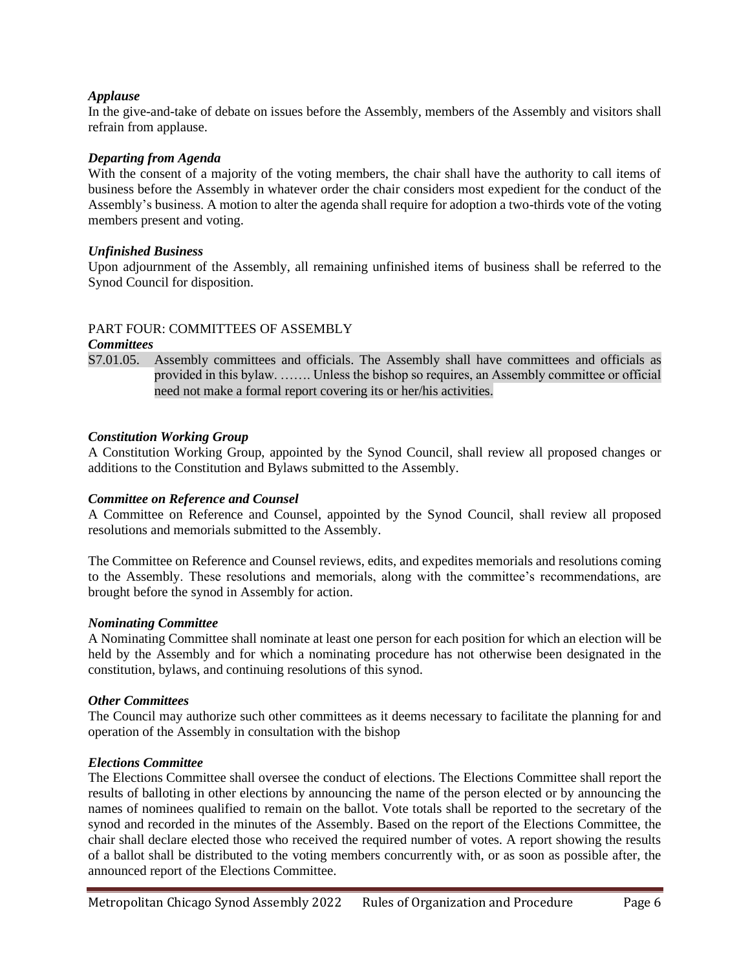### *Applause*

In the give-and-take of debate on issues before the Assembly, members of the Assembly and visitors shall refrain from applause.

### *Departing from Agenda*

With the consent of a majority of the voting members, the chair shall have the authority to call items of business before the Assembly in whatever order the chair considers most expedient for the conduct of the Assembly's business. A motion to alter the agenda shall require for adoption a two-thirds vote of the voting members present and voting.

### *Unfinished Business*

Upon adjournment of the Assembly, all remaining unfinished items of business shall be referred to the Synod Council for disposition.

### PART FOUR: COMMITTEES OF ASSEMBLY

#### *Committees*

S7.01.05. Assembly committees and officials. The Assembly shall have committees and officials as provided in this bylaw. ……. Unless the bishop so requires, an Assembly committee or official need not make a formal report covering its or her/his activities.

### *Constitution Working Group*

A Constitution Working Group, appointed by the Synod Council, shall review all proposed changes or additions to the Constitution and Bylaws submitted to the Assembly.

### *Committee on Reference and Counsel*

A Committee on Reference and Counsel, appointed by the Synod Council, shall review all proposed resolutions and memorials submitted to the Assembly.

The Committee on Reference and Counsel reviews, edits, and expedites memorials and resolutions coming to the Assembly. These resolutions and memorials, along with the committee's recommendations, are brought before the synod in Assembly for action.

### *Nominating Committee*

A Nominating Committee shall nominate at least one person for each position for which an election will be held by the Assembly and for which a nominating procedure has not otherwise been designated in the constitution, bylaws, and continuing resolutions of this synod.

### *Other Committees*

The Council may authorize such other committees as it deems necessary to facilitate the planning for and operation of the Assembly in consultation with the bishop

### *Elections Committee*

The Elections Committee shall oversee the conduct of elections. The Elections Committee shall report the results of balloting in other elections by announcing the name of the person elected or by announcing the names of nominees qualified to remain on the ballot. Vote totals shall be reported to the secretary of the synod and recorded in the minutes of the Assembly. Based on the report of the Elections Committee, the chair shall declare elected those who received the required number of votes. A report showing the results of a ballot shall be distributed to the voting members concurrently with, or as soon as possible after, the announced report of the Elections Committee.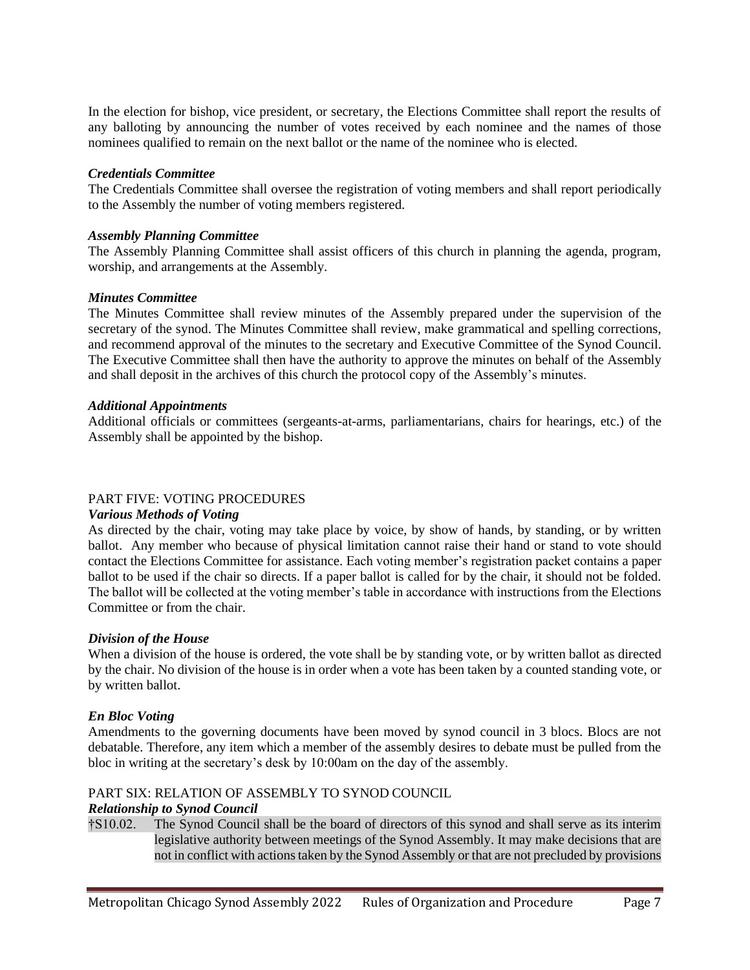In the election for bishop, vice president, or secretary, the Elections Committee shall report the results of any balloting by announcing the number of votes received by each nominee and the names of those nominees qualified to remain on the next ballot or the name of the nominee who is elected.

### *Credentials Committee*

The Credentials Committee shall oversee the registration of voting members and shall report periodically to the Assembly the number of voting members registered.

### *Assembly Planning Committee*

The Assembly Planning Committee shall assist officers of this church in planning the agenda, program, worship, and arrangements at the Assembly.

### *Minutes Committee*

The Minutes Committee shall review minutes of the Assembly prepared under the supervision of the secretary of the synod. The Minutes Committee shall review, make grammatical and spelling corrections, and recommend approval of the minutes to the secretary and Executive Committee of the Synod Council. The Executive Committee shall then have the authority to approve the minutes on behalf of the Assembly and shall deposit in the archives of this church the protocol copy of the Assembly's minutes.

### *Additional Appointments*

Additional officials or committees (sergeants-at-arms, parliamentarians, chairs for hearings, etc.) of the Assembly shall be appointed by the bishop.

# PART FIVE: VOTING PROCEDURES

### *Various Methods of Voting*

As directed by the chair, voting may take place by voice, by show of hands, by standing, or by written ballot. Any member who because of physical limitation cannot raise their hand or stand to vote should contact the Elections Committee for assistance. Each voting member's registration packet contains a paper ballot to be used if the chair so directs. If a paper ballot is called for by the chair, it should not be folded. The ballot will be collected at the voting member's table in accordance with instructions from the Elections Committee or from the chair.

### *Division of the House*

When a division of the house is ordered, the vote shall be by standing vote, or by written ballot as directed by the chair. No division of the house is in order when a vote has been taken by a counted standing vote, or by written ballot.

# *En Bloc Voting*

Amendments to the governing documents have been moved by synod council in 3 blocs. Blocs are not debatable. Therefore, any item which a member of the assembly desires to debate must be pulled from the bloc in writing at the secretary's desk by 10:00am on the day of the assembly.

# PART SIX: RELATION OF ASSEMBLY TO SYNOD COUNCIL

### *Relationship to Synod Council*

†S10.02. The Synod Council shall be the board of directors of this synod and shall serve as its interim legislative authority between meetings of the Synod Assembly. It may make decisions that are not in conflict with actions taken by the Synod Assembly or that are not precluded by provisions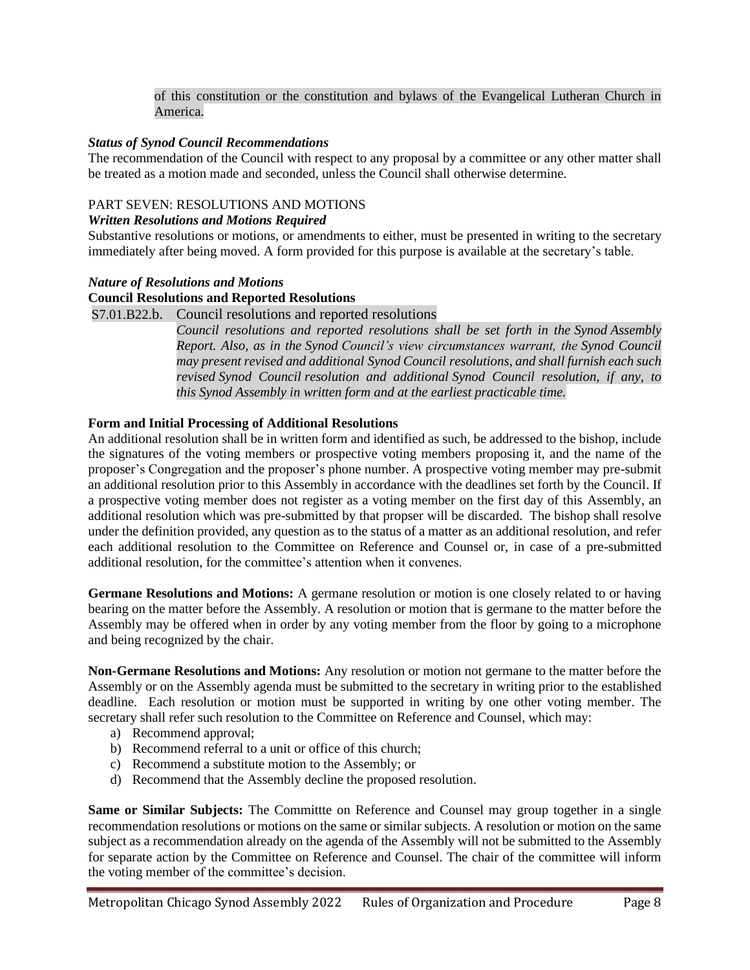of this constitution or the constitution and bylaws of the Evangelical Lutheran Church in America.

### *Status of Synod Council Recommendations*

The recommendation of the Council with respect to any proposal by a committee or any other matter shall be treated as a motion made and seconded, unless the Council shall otherwise determine.

### PART SEVEN: RESOLUTIONS AND MOTIONS

### *Written Resolutions and Motions Required*

Substantive resolutions or motions, or amendments to either, must be presented in writing to the secretary immediately after being moved. A form provided for this purpose is available at the secretary's table.

### *Nature of Resolutions and Motions*

### **Council Resolutions and Reported Resolutions**

S7.01.B22.b. Council resolutions and reported resolutions

*Council resolutions and reported resolutions shall be set forth in the Synod Assembly Report. Also, as in the Synod Council's view circumstances warrant, the Synod Council may present revised and additional Synod Council resolutions, and shall furnish each such revised Synod Council resolution and additional Synod Council resolution, if any, to this Synod Assembly in written form and at the earliest practicable time.*

### **Form and Initial Processing of Additional Resolutions**

An additional resolution shall be in written form and identified as such, be addressed to the bishop, include the signatures of the voting members or prospective voting members proposing it, and the name of the proposer's Congregation and the proposer's phone number. A prospective voting member may pre-submit an additional resolution prior to this Assembly in accordance with the deadlines set forth by the Council. If a prospective voting member does not register as a voting member on the first day of this Assembly, an additional resolution which was pre-submitted by that propser will be discarded. The bishop shall resolve under the definition provided, any question as to the status of a matter as an additional resolution, and refer each additional resolution to the Committee on Reference and Counsel or, in case of a pre-submitted additional resolution, for the committee's attention when it convenes.

**Germane Resolutions and Motions:** A germane resolution or motion is one closely related to or having bearing on the matter before the Assembly. A resolution or motion that is germane to the matter before the Assembly may be offered when in order by any voting member from the floor by going to a microphone and being recognized by the chair.

**Non-Germane Resolutions and Motions:** Any resolution or motion not germane to the matter before the Assembly or on the Assembly agenda must be submitted to the secretary in writing prior to the established deadline. Each resolution or motion must be supported in writing by one other voting member. The secretary shall refer such resolution to the Committee on Reference and Counsel, which may:

- a) Recommend approval;
- b) Recommend referral to a unit or office of this church;
- c) Recommend a substitute motion to the Assembly; or
- d) Recommend that the Assembly decline the proposed resolution.

**Same or Similar Subjects:** The Committee on Reference and Counsel may group together in a single recommendation resolutions or motions on the same or similar subjects. A resolution or motion on the same subject as a recommendation already on the agenda of the Assembly will not be submitted to the Assembly for separate action by the Committee on Reference and Counsel. The chair of the committee will inform the voting member of the committee's decision.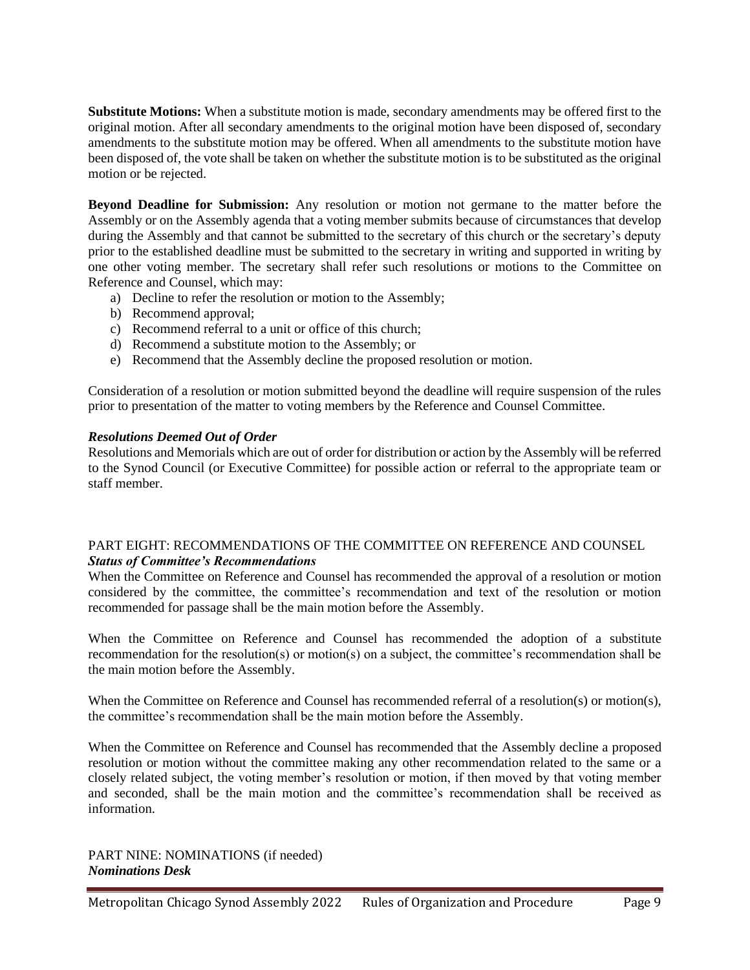**Substitute Motions:** When a substitute motion is made, secondary amendments may be offered first to the original motion. After all secondary amendments to the original motion have been disposed of, secondary amendments to the substitute motion may be offered. When all amendments to the substitute motion have been disposed of, the vote shall be taken on whether the substitute motion is to be substituted as the original motion or be rejected.

**Beyond Deadline for Submission:** Any resolution or motion not germane to the matter before the Assembly or on the Assembly agenda that a voting member submits because of circumstances that develop during the Assembly and that cannot be submitted to the secretary of this church or the secretary's deputy prior to the established deadline must be submitted to the secretary in writing and supported in writing by one other voting member. The secretary shall refer such resolutions or motions to the Committee on Reference and Counsel, which may:

- a) Decline to refer the resolution or motion to the Assembly;
- b) Recommend approval;
- c) Recommend referral to a unit or office of this church;
- d) Recommend a substitute motion to the Assembly; or
- e) Recommend that the Assembly decline the proposed resolution or motion.

Consideration of a resolution or motion submitted beyond the deadline will require suspension of the rules prior to presentation of the matter to voting members by the Reference and Counsel Committee.

### *Resolutions Deemed Out of Order*

Resolutions and Memorials which are out of order for distribution or action by the Assembly will be referred to the Synod Council (or Executive Committee) for possible action or referral to the appropriate team or staff member.

### PART EIGHT: RECOMMENDATIONS OF THE COMMITTEE ON REFERENCE AND COUNSEL *Status of Committee's Recommendations*

When the Committee on Reference and Counsel has recommended the approval of a resolution or motion considered by the committee, the committee's recommendation and text of the resolution or motion recommended for passage shall be the main motion before the Assembly.

When the Committee on Reference and Counsel has recommended the adoption of a substitute recommendation for the resolution(s) or motion(s) on a subject, the committee's recommendation shall be the main motion before the Assembly.

When the Committee on Reference and Counsel has recommended referral of a resolution(s) or motion(s), the committee's recommendation shall be the main motion before the Assembly.

When the Committee on Reference and Counsel has recommended that the Assembly decline a proposed resolution or motion without the committee making any other recommendation related to the same or a closely related subject, the voting member's resolution or motion, if then moved by that voting member and seconded, shall be the main motion and the committee's recommendation shall be received as information.

PART NINE: NOMINATIONS (if needed) *Nominations Desk*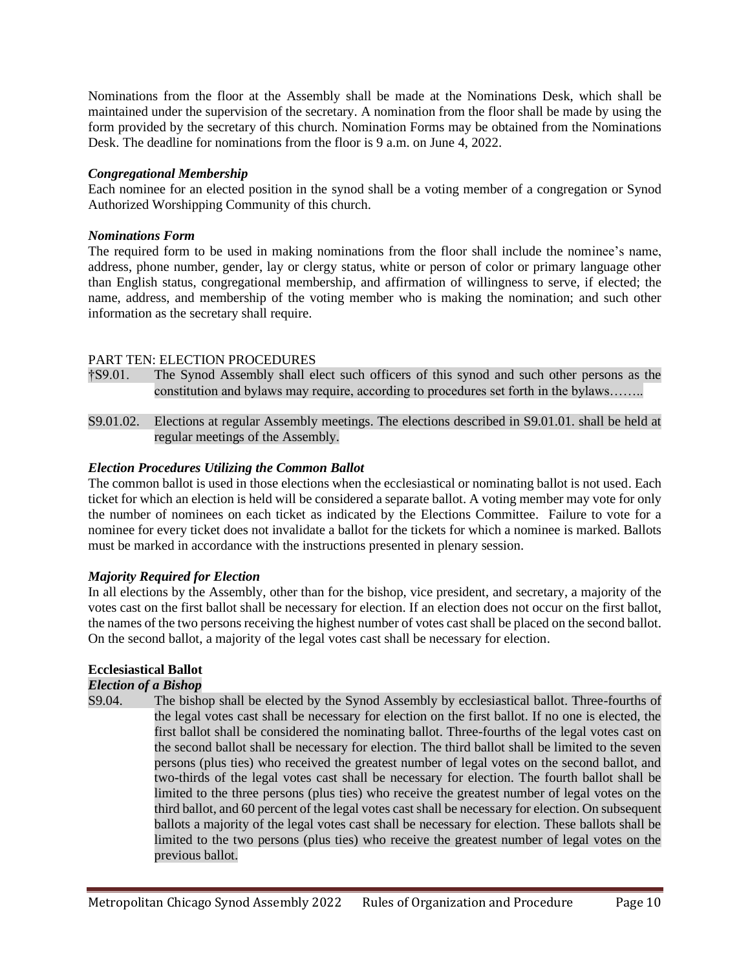Nominations from the floor at the Assembly shall be made at the Nominations Desk, which shall be maintained under the supervision of the secretary. A nomination from the floor shall be made by using the form provided by the secretary of this church. Nomination Forms may be obtained from the Nominations Desk. The deadline for nominations from the floor is 9 a.m. on June 4, 2022.

### *Congregational Membership*

Each nominee for an elected position in the synod shall be a voting member of a congregation or Synod Authorized Worshipping Community of this church.

### *Nominations Form*

The required form to be used in making nominations from the floor shall include the nominee's name, address, phone number, gender, lay or clergy status, white or person of color or primary language other than English status, congregational membership, and affirmation of willingness to serve, if elected; the name, address, and membership of the voting member who is making the nomination; and such other information as the secretary shall require.

# PART TEN: ELECTION PROCEDURES

- †S9.01. The Synod Assembly shall elect such officers of this synod and such other persons as the constitution and bylaws may require, according to procedures set forth in the bylaws……..
- S9.01.02. Elections at regular Assembly meetings. The elections described in S9.01.01. shall be held at regular meetings of the Assembly.

# *Election Procedures Utilizing the Common Ballot*

The common ballot is used in those elections when the ecclesiastical or nominating ballot is not used. Each ticket for which an election is held will be considered a separate ballot. A voting member may vote for only the number of nominees on each ticket as indicated by the Elections Committee. Failure to vote for a nominee for every ticket does not invalidate a ballot for the tickets for which a nominee is marked. Ballots must be marked in accordance with the instructions presented in plenary session.

# *Majority Required for Election*

In all elections by the Assembly, other than for the bishop, vice president, and secretary, a majority of the votes cast on the first ballot shall be necessary for election. If an election does not occur on the first ballot, the names of the two persons receiving the highest number of votes cast shall be placed on the second ballot. On the second ballot, a majority of the legal votes cast shall be necessary for election.

# **Ecclesiastical Ballot**

# *Election of a Bishop*

S9.04. The bishop shall be elected by the Synod Assembly by ecclesiastical ballot. Three-fourths of the legal votes cast shall be necessary for election on the first ballot. If no one is elected, the first ballot shall be considered the nominating ballot. Three-fourths of the legal votes cast on the second ballot shall be necessary for election. The third ballot shall be limited to the seven persons (plus ties) who received the greatest number of legal votes on the second ballot, and two-thirds of the legal votes cast shall be necessary for election. The fourth ballot shall be limited to the three persons (plus ties) who receive the greatest number of legal votes on the third ballot, and 60 percent of the legal votes cast shall be necessary for election. On subsequent ballots a majority of the legal votes cast shall be necessary for election. These ballots shall be limited to the two persons (plus ties) who receive the greatest number of legal votes on the previous ballot.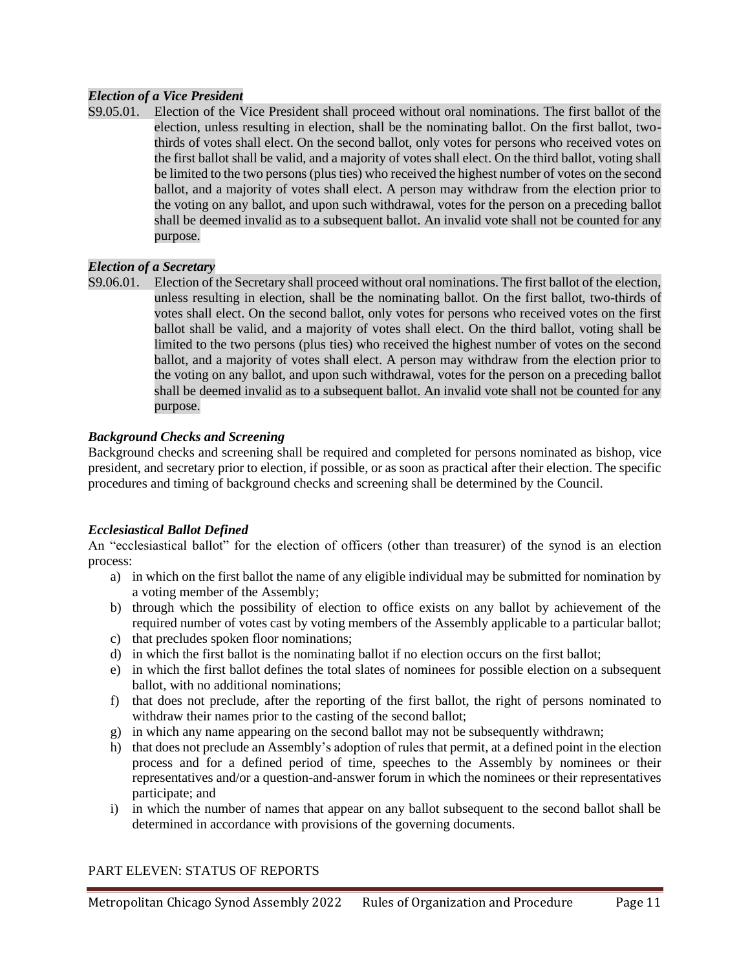# *Election of a Vice President*

S9.05.01. Election of the Vice President shall proceed without oral nominations. The first ballot of the election, unless resulting in election, shall be the nominating ballot. On the first ballot, twothirds of votes shall elect. On the second ballot, only votes for persons who received votes on the first ballot shall be valid, and a majority of votes shall elect. On the third ballot, voting shall be limited to the two persons (plus ties) who received the highest number of votes on the second ballot, and a majority of votes shall elect. A person may withdraw from the election prior to the voting on any ballot, and upon such withdrawal, votes for the person on a preceding ballot shall be deemed invalid as to a subsequent ballot. An invalid vote shall not be counted for any purpose.

### *Election of a Secretary*

S9.06.01. Election of the Secretary shall proceed without oral nominations. The first ballot of the election, unless resulting in election, shall be the nominating ballot. On the first ballot, two-thirds of votes shall elect. On the second ballot, only votes for persons who received votes on the first ballot shall be valid, and a majority of votes shall elect. On the third ballot, voting shall be limited to the two persons (plus ties) who received the highest number of votes on the second ballot, and a majority of votes shall elect. A person may withdraw from the election prior to the voting on any ballot, and upon such withdrawal, votes for the person on a preceding ballot shall be deemed invalid as to a subsequent ballot. An invalid vote shall not be counted for any purpose.

# *Background Checks and Screening*

Background checks and screening shall be required and completed for persons nominated as bishop, vice president, and secretary prior to election, if possible, or as soon as practical after their election. The specific procedures and timing of background checks and screening shall be determined by the Council.

### *Ecclesiastical Ballot Defined*

An "ecclesiastical ballot" for the election of officers (other than treasurer) of the synod is an election process:

- a) in which on the first ballot the name of any eligible individual may be submitted for nomination by a voting member of the Assembly;
- b) through which the possibility of election to office exists on any ballot by achievement of the required number of votes cast by voting members of the Assembly applicable to a particular ballot;
- c) that precludes spoken floor nominations;
- d) in which the first ballot is the nominating ballot if no election occurs on the first ballot;
- e) in which the first ballot defines the total slates of nominees for possible election on a subsequent ballot, with no additional nominations;
- f) that does not preclude, after the reporting of the first ballot, the right of persons nominated to withdraw their names prior to the casting of the second ballot;
- g) in which any name appearing on the second ballot may not be subsequently withdrawn;
- h) that does not preclude an Assembly's adoption of rules that permit, at a defined point in the election process and for a defined period of time, speeches to the Assembly by nominees or their representatives and/or a question-and-answer forum in which the nominees or their representatives participate; and
- i) in which the number of names that appear on any ballot subsequent to the second ballot shall be determined in accordance with provisions of the governing documents.

# PART ELEVEN: STATUS OF REPORTS